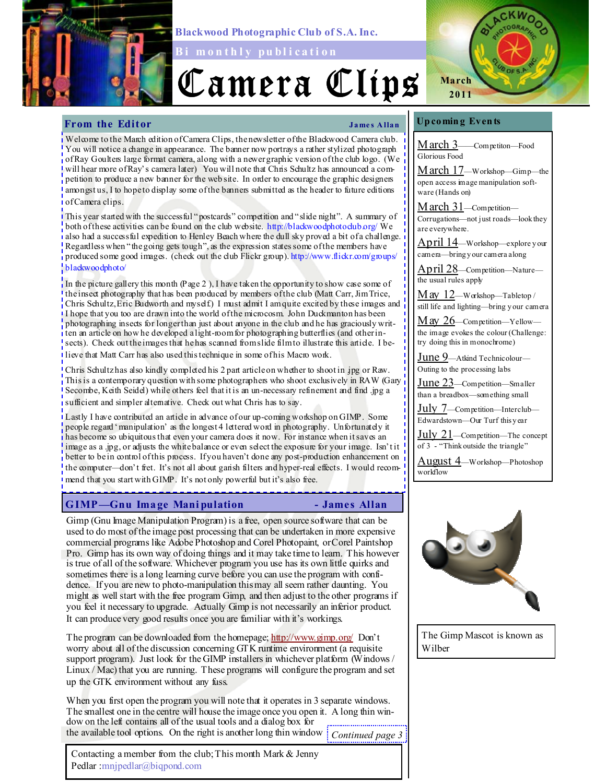

Blackwood Photographic Club of S.A. Inc.

Bi m on thly publication

# Camera Clips



# From the Editor James Allan

Welcome to the March edition of Camera Clips, the new sletter of the Blackwood Camera club. You will notice a change in appearance. The banner now portrays a rather stylized photograph of Ray Goulters large format camera, along with a newer graphic version of the club logo. (We will hear more of Ray's camera later) You will note that Chris Schultz has announced a competition to produce a new banner for the web site. In order to encourage the graphic designers amongst us, I to hope to display some of the banners submitted as the header to future editions of Camera clips.

This year started with the successful "postcards" competition and "slide night". A summary of both of these activities can be found on the club website. http://blackwoodphotoclub.org/ We also had a successful expedition to Henley Beach where the dull sky proved a bit of a challenge. Regardless when "the going gets tough", as the expression states some of the members have produced some good images. (check out the club Flickr group). http://www.flickr.com/groups/ blackwoodphoto/

In the picture gallery this month (Page 2), I have taken the opportunity to show case some of the insect photography that has been produced by members of the club (Matt Carr, Jim Trice, Chris Schultz, Eric Budworth and myself.) I must admit I am quite excited by these images and I hope that you too are drawn into the world of the microcosm. John Duckmanton has been photographing insects for longer than just about anyone in the club and he has graciously written an article on how he developed a light-room for photographing butterflies (and other insects). Check out the images that he has scanned from slide film to illustrate this article. I believe that Matt Carr has also used this technique in some of his Macro work.

Chris Schultz has also kindly completed his 2 part article on whether to shoot in jpg or Raw. This is a contemporary question with some photographers who shoot exclusively in RAW (Gary Secombe, Keith Seidel) while others feel that it is an un-necessary refinement and find .jpg a sufficient and simpler alternative. Check out what Chris has to say.

Lastly I have contributed an article in advance of our up-coming workshop on GIMP. Some people regard 'manipulation' as the longest 4 lettered word in photography. Unfortunately it has become so ubiquitous that even your camera does it now. For instance when it saves an image as a .jpg, or adjusts the white balance or even select the exposure for your image. Isn't it better to be in control of this process. If you haven't done any post-production enhancement on the computer—don't fret. It's not all about garish filters and hyper-real effects. I would recommend that you start with GIMP. It's not only powerful but it's also free.

# GIMP—Gnu Image Mani pulation - James Allan

Gimp (Gnu Image Manipulation Program) is a free, open source software that can be used to do most of the image post processing that can be undertaken in more expensive commercial programs like Adobe Photoshop and Corel Photopaint, or Corel Paintshop Pro. Gimp has its own way of doing things and it may take time to learn. This however is true of all of the software. Whichever program you use has its own little quirks and sometimes there is a long learning curve before you can use the program with confidence. If you are new to photo-manipulation this may all seem rather daunting. You might as well start with the free program Gimp, and then adjust to the other programs if you feel it necessary to upgrade. Actually Gimp is not necessarily an inferior product. It can produce very good results once you are familiar with it's workings.

The program can be downloaded from the homepage; http://www.gimp.org/ Don't worry about all of the discussion concerning GTK runtime environment (a requisite support program). Just look for the GIMP installers in whichever platform (Windows / Linux / Mac) that you are running. These programs will configure the program and set up the GTK environment without any fuss.

When you first open the program you will note that it operates in 3 separate windows. The smallest one in the centre will house the image once you open it. A long thin window on the left contains all of the usual tools and a dialog box for the available tool options. On the right is another long thin window Continued page 3

Contacting a member from the club; This month Mark & Jenny Pedlar :mnjpedlar@biqpond.com

### Up comin g Even ts

March 3-Competiton-Food Glorious Food

March 17—Workshop—Gimp—the open access image manipulation software (Hands on)

March 31-Competition-Corrugations—not just roads—look they are everywhere.

April 14—Workshop—explore y our camera—bring y our camera along

April 28—Competition—Nature the usual rules apply

 $M$  ay  $12$ —Workshop—Tabletop / still life and lighting—bring y our camera

 $M$  ay  $26$ —Competition—Yellow the image evokes the colour (Challenge: try doing this in monochrome)

June 9—Atkind Technicolour— Outing to the processing labs

June 23-Competition-Smaller than a breadbox—something small

July 7—Competition—Interclub— Edwardstown—Our Turf this y ear

July 21—Competition—The concept of 3 - "Think outside the triangle"

August 4—Workshop—Photoshop workflow



The Gimp Mascot is known as Wilber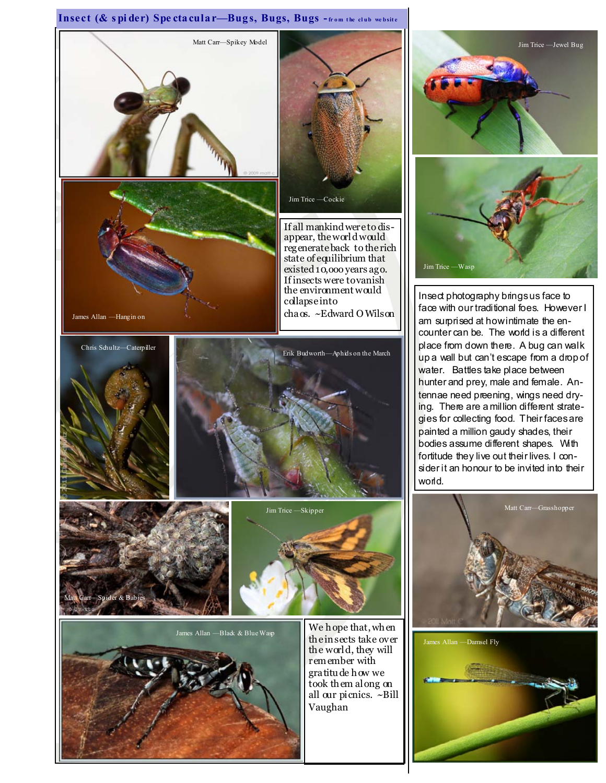# Insect (& spider) Spectacular-Bugs, Bugs, Bugs -from the club website





Insect photography brings us face to face with our traditional foes. However I am surprised at how intimate the encounter can be. The world is a different place from down there. A bug can walk up a wall but can't escape from a drop of water. Battles take place between hunter and prey, male and female. Antennae need preening, wings need drying. There are a million different strategies for collecting food. Their faces are painted a million gaudy shades, their bodies assume different shapes. With fortitude they live out their lives. I consider it an honour to be invited into their world.



James Allan —Damsel Fly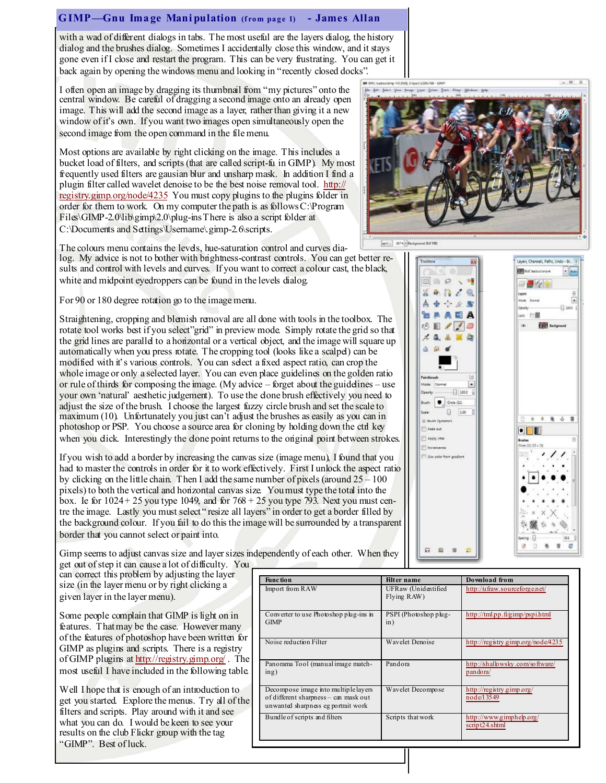### GIMP—Gnu Image Mani pulation (from page 1) - James Allan

with a wad of different dialogs in tabs. The most useful are the layers dialog, the history dialog and the brushes dialog. Sometimes I accidentally close this window, and it stays gone even if I close and restart the program. This can be very frustrating. You can get it back again by opening the windows menu and looking in "recently closed docks".

I often open an image by dragging its thumbnail from "my pictures" onto the central window. Be careful of dragging a second image onto an already open image. This will add the second image as a layer, rather than giving it a new window of it's own. If you want two images open simultaneously open the second image from the open command in the file menu.

Most options are available by right clicking on the image. This includes a bucket load of filters, and scripts (that are called script-fu in GIMP). My most frequently used filters are gausian blur and unsharp mask. In addition I find a plugin filter called wavelet denoise to be the best noise removal tool. http:// registry.gimp.org/node/4235 You must copy plugins to the plugins folder in order for them to work. On my computer the path is as follows C:\Program Files\GIMP-2.0\lib\gimp\2.0\plug-ins There is also a script folder at C:\Documents and Settings\Username\.gimp-2.6\scripts.



For 90 or 180 degree rotation go to the image menu.

Straightening, cropping and blemish removal are all done with tools in the toolbox. The rotate tool works best if you select"grid" in preview mode. Simply rotate the grid so that the grid lines are parallel to a horizontal or a vertical object, and the image will square up automatically when you press rotate. The cropping tool (looks like a scalpel) can be modified with it's various controls. You can select a fixed aspect ratio, can crop the whole image or only a selected layer. You can even place guidelines on the golden ratio or rule of thirds for composing the image. (My advice – forget about the guidelines – use your own 'natural' aesthetic judgement). To use the done brush effectively you need to adjust the size of the brush. I choose the largest fuzzy circle brush and set the scale to maximum (10). Unfortunately you just can't adjust the brushes as easily as you can in photoshop or PSP. You choose a source area for cloning by holding down the ctrl key when you dick. Interestingly the done point returns to the original point between strokes.

If you wish to add a border by increasing the canvas size (image menu), I found that you had to master the controls in order for it to work effectively. First I unlock the aspect ratio by clicking on the little chain. Then I add the same number of pixels (around  $25 - 100$ ) pixels) to both the vertical and horizontal canvas size. You must type the total into the box. Ie for  $1024 + 25$  you type 1049, and for  $768 + 25$  you type 793. Next you must centre the image. Lastly you must select " resize all layers" in order to get a border filled by the background colour. If you fail to do this the image will be surrounded by a transparent border that you cannot select or paint into.



She Edit Select View Swage Liver Colors Tools Eltern

鉴

۵

Painti

**Shugh** 

ii) av

T Inc

扇



Gimp seems to adjust canvas size and layer sizes independently of each other. When they get out of step it can cause a lot of difficulty. You

can correct this problem by adjusting the layer size (in the layer menu or by right clicking a given layer in the layer menu).

Some people complain that GIMP is light on in features. That may be the case. However many of the features of photoshop have been written for GIMP as plugins and scripts. There is a registry of GIMP plugins at http://registry.gimp.org/ . The most useful I have included in the following table.

Well I hope that is enough of an introduction to get you started. Explore the menus. Try all of the filters and scripts. Play around with it and see what you can do. I would be keen to see your results on the club Flickr group with the tag "GIMP". Best of luck.

| <b>Filter</b> name                 | Download from                               |
|------------------------------------|---------------------------------------------|
| UFRaw (Unidentified<br>Flying RAW) | http://ufraw.sourceforge.net/               |
| PSPI (Photoshop plug-<br>in)       | http://tml.p.p.fi/gimp/pspi.html            |
| Wavelet Denoise                    | http://registry.gimp.org/node/4235          |
| Pandora                            | http://shallowsky.com/software/<br>pandora/ |
| Wavelet Decompose                  | http://registry.gimp.org/<br>node/13549     |
| Scripts that work                  | http://www.gimphelp.org/<br>script24.shtml  |
|                                    |                                             |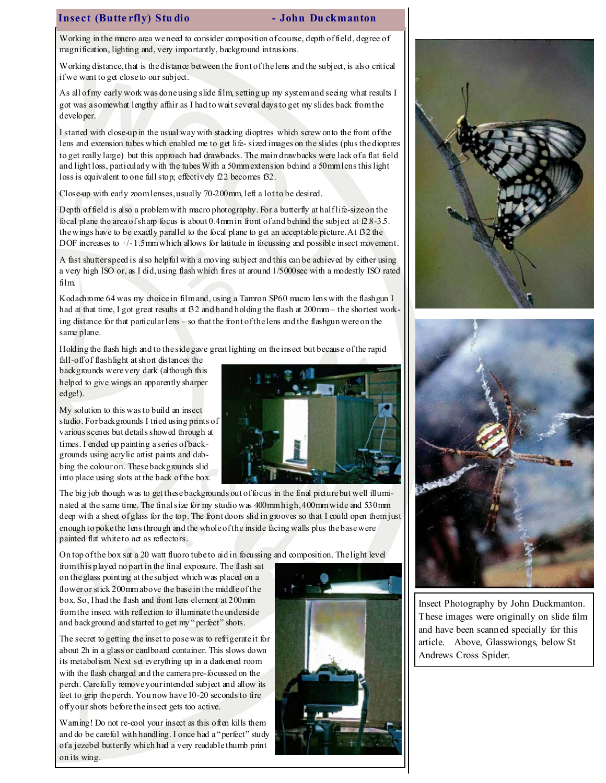### Insect (Butte rfly) Stu dio - John Du ckmanton

Working in the macro area we need to consider composition of course, depth of field, degree of magnification, lighting and, very importantly, background intrusions.

Working distance, that is the distance between the front of the lens and the subject, is also critical if we want to get close to our subject.

As all of my early work was done using slide film, setting up my system and seeing what results I got was a somewhat lengthy affair as I had to wait several days to get my slides back from the developer.

I started with close-up in the usual way with stacking dioptres which screw onto the front of the lens and extension tubes which enabled me to get life- sized images on the slides (plus the dioptres to get really large) but this approach had drawbacks. The main drawbacks were lack of a flat field and light loss, particularly with the tubes With a 50mm extension behind a 50mm lens this light loss is equivalent to one full stop; effectively f22 becomes f32.

Close-up with early zoom lenses, usually 70-200mm, left a lot to be desired.

Depth of field is also a problem with macro photography. For a butterfly at half life-size on the focal plane the area of sharp focus is about 0.4mm in front of and behind the subject at  $2.8-3.5$ . the wings have to be exactly parallel to the focal plane to get an acceptable picture. At  $32$  the DOF increases to  $+/-1.5$  mm which allows for latitude in focussing and possible insect movement.

A fast shutter speed is also helpful with a moving subject and this can be achieved by either using a very high ISO or, as I did, using flash which fires at around 1/5000sec with a modestly ISO rated film.

Kodachrome 64 was my choice in film and, using a Tamron SP60 macro lens with the flashgun I had at that time, I got great results at  $52$  and hand holding the flash at  $200$ mm – the shortest working distance for that particular lens – so that the front of the lens and the flashgun were on the same plane.

Holding the flash high and to the side gave great lighting on the insect but because of the rapid

fall-off of flashlight at short distances the backgrounds were very dark (although this helped to give wings an apparently sharper edge!).

My solution to this was to build an insect studio. For backgrounds I tried using prints of various scenes but details showed through at times. I ended up painting a series of backgrounds using acrylic artist paints and dabbing the colour on. These backgrounds slid into place using slots at the back of the box.



The big job though was to get these backgrounds out of focus in the final picture but well illuminated at the same time. The final size for my studio was 400mm high, 400mm wide and 530mm deep with a sheet of glass for the top. The front doors slid in grooves so that I could open them just enough to poke the lens through and the whole of the inside facing walls plus the base were painted flat white to act as reflectors.

On top of the box sat a 20 watt fluoro tube to aid in focussing and composition. The light level

from this played no part in the final exposure. The flash sat on the glass pointing at the subject which was placed on a flower or stick 200mm above the base in the middle of the box. So, I had the flash and front lens element at 200mm from the insect with reflection to illuminate the underside and background and started to get my "perfect" shots.

The secret to getting the inset to pose was to refrigerate it for about 2h in a glass or cardboard container. This slows down its metabolism. Next set everything up in a darkened room with the flash charged and the camera pre-focussed on the perch. Carefully remove your intended subject and allow its feet to grip the perch. You now have 10-20 seconds to fire off your shots before the insect gets too active.

Waming! Do not re-cool your insect as this often kills them and do be careful with handling. I once had a "perfect" study of a jezebel butterfly which had a very readable thumb print on its wing.







Insect Photography by John Duckmanton. These images were originally on slide film and have been scanned specially for this article. Above, Glasswiongs, below St Andrews Cross Spider.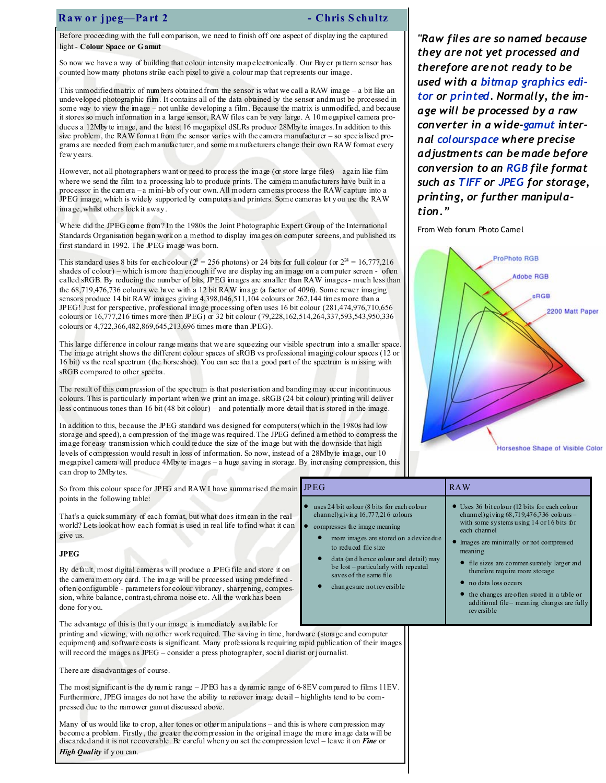# Raw or jpeg—Part 2 - Chris Schultz

Before proceeding with the full comparison, we need to finish off one aspect of display ing the captured light - Colour Space or Gamut

So now we have a way of building that colour intensity map electronically . Our Bay er pattern sensor has counted how many photons strike each pixel to give a colour map that represents our image.

This unmodified matrix of numbers obtained from the sensor is what we call a RAW image – a bit like an undeveloped photographic film. It contains all of the data obtained by the sensor and must be processed in some way to view the image – not unlike developing a film. Because the matrix is unmodified, and because it stores so much information in a large sensor, RAW files can be very large. A 10 megapixel camera produces a 12Mby te image, and the latest 16 megapixel dSLRs produce 28Mby te images. In addition to this size problem, the RAW format from the sensor varies with the camera manufacturer – so specialised programs are needed from each manufacturer, and some manufacturers change their own RAW format every few y ears.

However, not all photographers want or need to process the image ( $\alpha$  store large files) – again like film where we send the film to a processing lab to produce prints. The camera manufacturers have built in a processor in the camera – a mini-lab of y our own. All modern cameras process the RAW capture into a JPEG image, which is widely supported by computers and printers. Some cameras let y ou use the RAW image, whilst others lock it away .

Where did the JPEG come from? In the 1980s the Joint Photographic Expert Group of the International Standards Organisation began work on a method to display images on computer screens, and published its first standard in 1992. The JPEG image was born.

This standard uses 8 bits for each colour ( $2^8 = 256$  photons) or 24 bits for full colour (or  $2^{24} = 16,777,216$ shades of colour) – which is more than enough if we are display ing an image on a computer screen - often called sRGB. By reducing the number of bits, JPEG images are smaller than RAW images - much less than the 68,719,476,736 colours we have with a 12 bit RAW image (a factor of 4096). Some newer imaging sensors produce 14 bit RAW images giving 4,398,046,511,104 colours or 262,144 times more than a JPEG! Just for perspective, professional image processing often uses 16 bit colour (281,474,976,710,656 colours or 16,777,216 times more then JPEG) or 32 bit colour (79,228,162,514,264,337,593,543,950,336 colours or 4,722,366,482,869,645,213,696 times more than JPEG).

This large difference in colour range means that we are squeezing our visible spectrum into a smaller space. The image at right shows the different colour spaces of sRGB vs professional imaging colour spaces (12 or 16 bit) vs the real spectrum (the horseshoe). You can see that a good part of the spectrum is missing with sRGB compared to other spectra.

The result of this compression of the spectrum is that posterisation and banding may occur in continuous colours. This is particularly important when we print an image. sRGB (24 bit colour) printing will deliver less continuous tones than 16 bit (48 bit colour) – and potentially more detail that is stored in the image.

In addition to this, because the JPEG standard was designed for computers (which in the 1980s had low storage and speed), a compression of the image was required. The JPEG defined a method to compress the image for easy transmission which could reduce the size of the image but with the downside that high levels of compression would result in loss of information. So now, instead of a 28Mby te image, our 10 megapixel camera will produce 4Mby te images – a huge saving in storage. By increasing compression, this can drop to 2Mby tes.

So from this colour space for JPEG and RAW I have summarised the main points in the following table:

That's a quick summary of each format, but what does it mean in the real world? Lets look at how each format is used in real life to find what it can give us.

### JPEG

By default, most digital cameras will produce a JPEG file and store it on the camera memory card. The image will be processed using predefined often configurable - parameters for colour vibrancy, sharpening, compression, white balance, contrast, chroma noise etc. All the work has been done for y ou.

The advantage of this is that your image is immediately available for

printing and viewing, with no other work required. The saving in time, hardware (storage and computer equipment) and software costs is significant. Many professionals requiring rapid publication of their images will record the images as JPEG – consider a press photographer, social diarist or journalist.

There are disadvantages of course.

The most significant is the dy namic range – JPEG has a dy namic range of 6-8EV compared to films 11EV. Furthermore, JPEG images do not have the ability to recover image detail – highlights tend to be compressed due to the narrower gamut discussed above.

Many of us would like to crop, alter tones or other manipulations – and this is where compression may become a problem. Firstly , the greater the compression in the original image the more image data will be discarded and it is not recoverable. Be careful when you set the compression level – leave it on **Fine** or High Quality if you can.

"Raw files are so named because they are not yet processed and therefore are not ready to be used with a bitmap graphics editor or printed. Normally, the image will be processed by a raw converter in a wide-gamut internal colourspace where precise adjustments can be made before conversion to an RGB file format such as TIFF or JPEG for storage, printing, or further manipulation."

From Web forum Photo Camel



additional file-meaning changes are fully

| JPEG                                                                                                                           | <b>RAW</b>                                                                                                                                                |
|--------------------------------------------------------------------------------------------------------------------------------|-----------------------------------------------------------------------------------------------------------------------------------------------------------|
| $\bullet$ uses 24 bit colour (8 bits for each colour<br>channel) giving $16,777,216$ colours<br>• compresses the image meaning | • Uses 36 bitcobur (12 bits for each cobur<br>channel) giving $68,719,476,736$ colours -<br>with some systems using $14$ or $16$ bits for<br>each channel |
| more images are stored on a device due<br>$\bullet$<br>to reduced file size                                                    | Images are minimally or not compressed<br>$mean$ ing                                                                                                      |
| data (and hence colour and detail) may<br>be lost – particularly with repeated<br>saves of the same file                       | • file sizes are commensurately larger and<br>therefore require more storage                                                                              |
| changes are not reversible                                                                                                     | $\bullet$ no data loss occurs                                                                                                                             |
|                                                                                                                                | • the changes are often stored in a table or                                                                                                              |

reversible